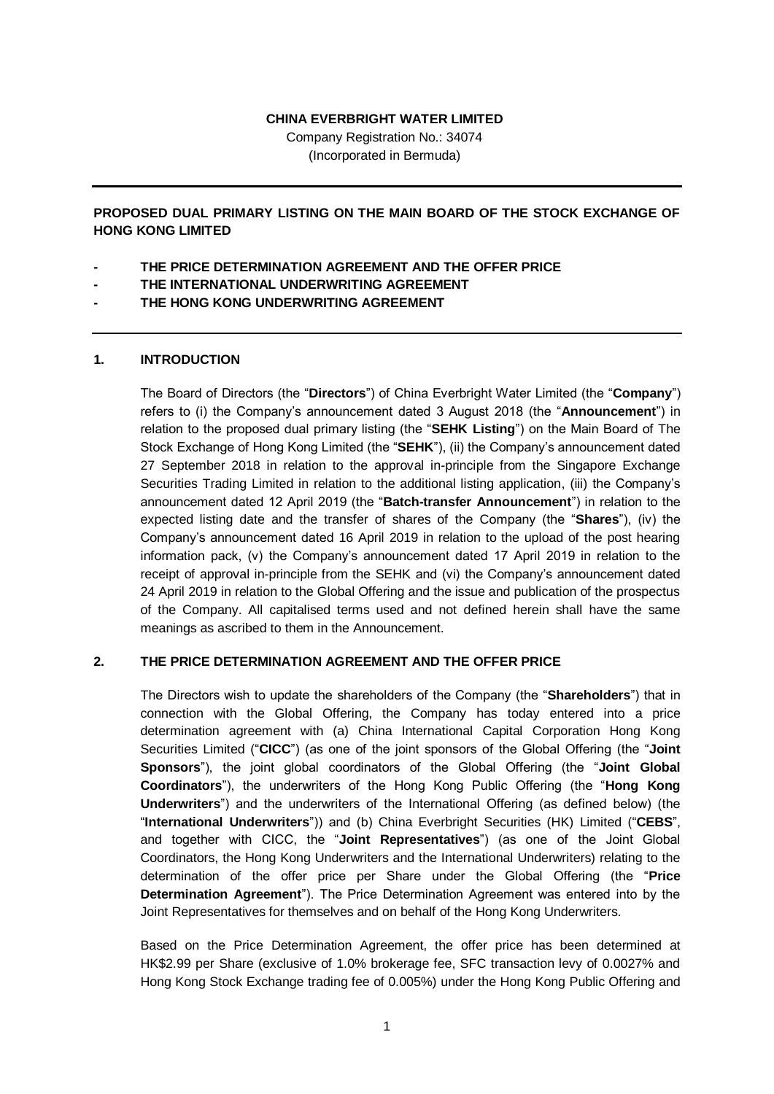#### **CHINA EVERBRIGHT WATER LIMITED**

Company Registration No.: 34074 (Incorporated in Bermuda)

**PROPOSED DUAL PRIMARY LISTING ON THE MAIN BOARD OF THE STOCK EXCHANGE OF HONG KONG LIMITED**

- **- THE PRICE DETERMINATION AGREEMENT AND THE OFFER PRICE**
- **- THE INTERNATIONAL UNDERWRITING AGREEMENT**
- **- THE HONG KONG UNDERWRITING AGREEMENT**

# **1. INTRODUCTION**

The Board of Directors (the "**Directors**") of China Everbright Water Limited (the "**Company**") refers to (i) the Company's announcement dated 3 August 2018 (the "**Announcement**") in relation to the proposed dual primary listing (the "**SEHK Listing**") on the Main Board of The Stock Exchange of Hong Kong Limited (the "**SEHK**"), (ii) the Company's announcement dated 27 September 2018 in relation to the approval in-principle from the Singapore Exchange Securities Trading Limited in relation to the additional listing application, (iii) the Company's announcement dated 12 April 2019 (the "**Batch-transfer Announcement**") in relation to the expected listing date and the transfer of shares of the Company (the "**Shares**"), (iv) the Company's announcement dated 16 April 2019 in relation to the upload of the post hearing information pack, (v) the Company's announcement dated 17 April 2019 in relation to the receipt of approval in-principle from the SEHK and (vi) the Company's announcement dated 24 April 2019 in relation to the Global Offering and the issue and publication of the prospectus of the Company. All capitalised terms used and not defined herein shall have the same meanings as ascribed to them in the Announcement.

# **2. THE PRICE DETERMINATION AGREEMENT AND THE OFFER PRICE**

The Directors wish to update the shareholders of the Company (the "**Shareholders**") that in connection with the Global Offering, the Company has today entered into a price determination agreement with (a) China International Capital Corporation Hong Kong Securities Limited ("**CICC**") (as one of the joint sponsors of the Global Offering (the "**Joint Sponsors**"), the joint global coordinators of the Global Offering (the "**Joint Global Coordinators**"), the underwriters of the Hong Kong Public Offering (the "**Hong Kong Underwriters**") and the underwriters of the International Offering (as defined below) (the "**International Underwriters**")) and (b) China Everbright Securities (HK) Limited ("**CEBS**", and together with CICC, the "**Joint Representatives**") (as one of the Joint Global Coordinators, the Hong Kong Underwriters and the International Underwriters) relating to the determination of the offer price per Share under the Global Offering (the "**Price Determination Agreement**"). The Price Determination Agreement was entered into by the Joint Representatives for themselves and on behalf of the Hong Kong Underwriters.

Based on the Price Determination Agreement, the offer price has been determined at HK\$2.99 per Share (exclusive of 1.0% brokerage fee, SFC transaction levy of 0.0027% and Hong Kong Stock Exchange trading fee of 0.005%) under the Hong Kong Public Offering and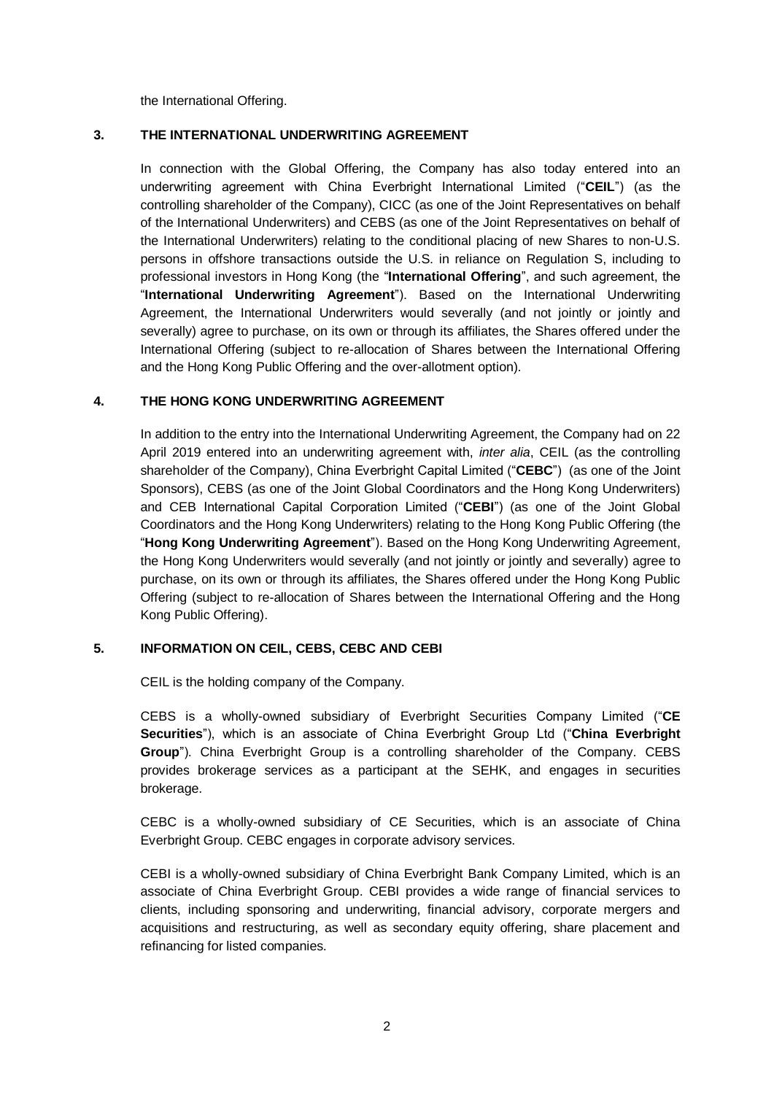the International Offering.

# **3. THE INTERNATIONAL UNDERWRITING AGREEMENT**

In connection with the Global Offering, the Company has also today entered into an underwriting agreement with China Everbright International Limited ("**CEIL**") (as the controlling shareholder of the Company), CICC (as one of the Joint Representatives on behalf of the International Underwriters) and CEBS (as one of the Joint Representatives on behalf of the International Underwriters) relating to the conditional placing of new Shares to non-U.S. persons in offshore transactions outside the U.S. in reliance on Regulation S, including to professional investors in Hong Kong (the "**International Offering**", and such agreement, the "**International Underwriting Agreement**"). Based on the International Underwriting Agreement, the International Underwriters would severally (and not jointly or jointly and severally) agree to purchase, on its own or through its affiliates, the Shares offered under the International Offering (subject to re-allocation of Shares between the International Offering and the Hong Kong Public Offering and the over-allotment option).

# **4. THE HONG KONG UNDERWRITING AGREEMENT**

In addition to the entry into the International Underwriting Agreement, the Company had on 22 April 2019 entered into an underwriting agreement with, *inter alia*, CEIL (as the controlling shareholder of the Company), China Everbright Capital Limited ("**CEBC**") (as one of the Joint Sponsors), CEBS (as one of the Joint Global Coordinators and the Hong Kong Underwriters) and CEB International Capital Corporation Limited ("**CEBI**") (as one of the Joint Global Coordinators and the Hong Kong Underwriters) relating to the Hong Kong Public Offering (the "**Hong Kong Underwriting Agreement**"). Based on the Hong Kong Underwriting Agreement, the Hong Kong Underwriters would severally (and not jointly or jointly and severally) agree to purchase, on its own or through its affiliates, the Shares offered under the Hong Kong Public Offering (subject to re-allocation of Shares between the International Offering and the Hong Kong Public Offering).

# **5. INFORMATION ON CEIL, CEBS, CEBC AND CEBI**

CEIL is the holding company of the Company.

CEBS is a wholly-owned subsidiary of Everbright Securities Company Limited ("**CE Securities**"), which is an associate of China Everbright Group Ltd ("**China Everbright Group**"). China Everbright Group is a controlling shareholder of the Company. CEBS provides brokerage services as a participant at the SEHK, and engages in securities brokerage.

CEBC is a wholly-owned subsidiary of CE Securities, which is an associate of China Everbright Group. CEBC engages in corporate advisory services.

CEBI is a wholly-owned subsidiary of China Everbright Bank Company Limited, which is an associate of China Everbright Group. CEBI provides a wide range of financial services to clients, including sponsoring and underwriting, financial advisory, corporate mergers and acquisitions and restructuring, as well as secondary equity offering, share placement and refinancing for listed companies.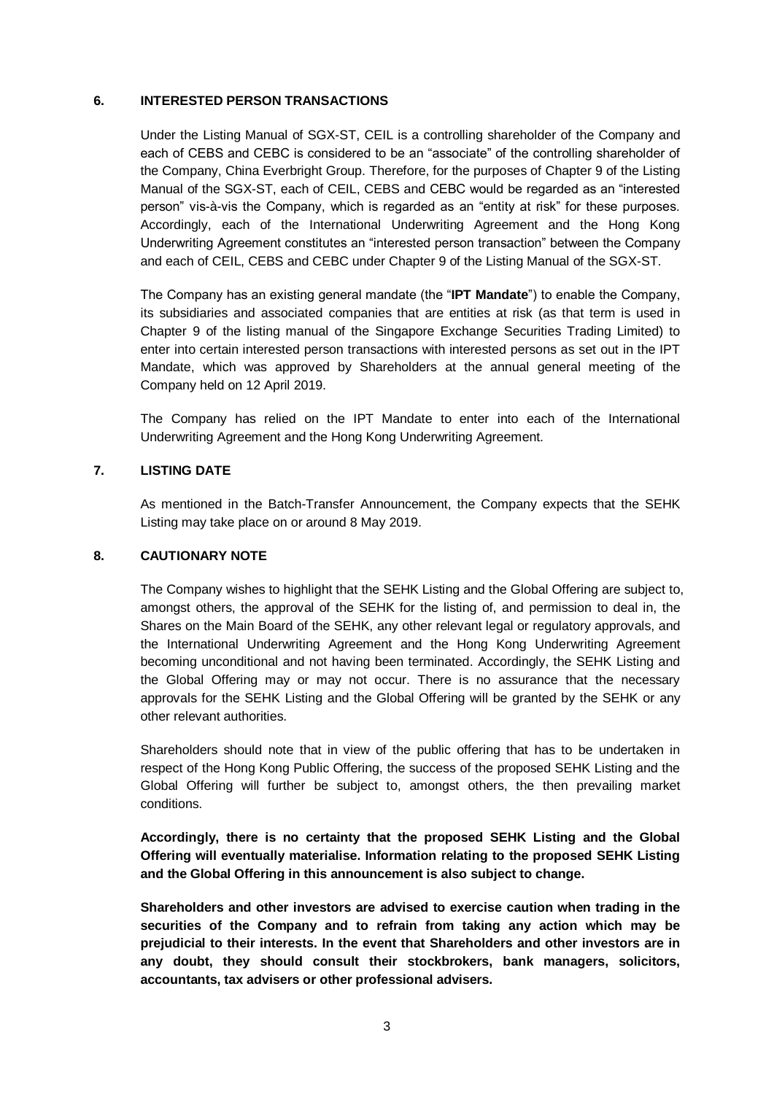## **6. INTERESTED PERSON TRANSACTIONS**

Under the Listing Manual of SGX-ST, CEIL is a controlling shareholder of the Company and each of CEBS and CEBC is considered to be an "associate" of the controlling shareholder of the Company, China Everbright Group. Therefore, for the purposes of Chapter 9 of the Listing Manual of the SGX-ST, each of CEIL, CEBS and CEBC would be regarded as an "interested person" vis-à-vis the Company, which is regarded as an "entity at risk" for these purposes. Accordingly, each of the International Underwriting Agreement and the Hong Kong Underwriting Agreement constitutes an "interested person transaction" between the Company and each of CEIL, CEBS and CEBC under Chapter 9 of the Listing Manual of the SGX-ST.

The Company has an existing general mandate (the "**IPT Mandate**") to enable the Company, its subsidiaries and associated companies that are entities at risk (as that term is used in Chapter 9 of the listing manual of the Singapore Exchange Securities Trading Limited) to enter into certain interested person transactions with interested persons as set out in the IPT Mandate, which was approved by Shareholders at the annual general meeting of the Company held on 12 April 2019.

The Company has relied on the IPT Mandate to enter into each of the International Underwriting Agreement and the Hong Kong Underwriting Agreement.

# **7. LISTING DATE**

As mentioned in the Batch-Transfer Announcement, the Company expects that the SEHK Listing may take place on or around 8 May 2019.

#### **8. CAUTIONARY NOTE**

The Company wishes to highlight that the SEHK Listing and the Global Offering are subject to, amongst others, the approval of the SEHK for the listing of, and permission to deal in, the Shares on the Main Board of the SEHK, any other relevant legal or regulatory approvals, and the International Underwriting Agreement and the Hong Kong Underwriting Agreement becoming unconditional and not having been terminated. Accordingly, the SEHK Listing and the Global Offering may or may not occur. There is no assurance that the necessary approvals for the SEHK Listing and the Global Offering will be granted by the SEHK or any other relevant authorities.

Shareholders should note that in view of the public offering that has to be undertaken in respect of the Hong Kong Public Offering, the success of the proposed SEHK Listing and the Global Offering will further be subject to, amongst others, the then prevailing market conditions.

**Accordingly, there is no certainty that the proposed SEHK Listing and the Global Offering will eventually materialise. Information relating to the proposed SEHK Listing and the Global Offering in this announcement is also subject to change.** 

**Shareholders and other investors are advised to exercise caution when trading in the securities of the Company and to refrain from taking any action which may be prejudicial to their interests. In the event that Shareholders and other investors are in any doubt, they should consult their stockbrokers, bank managers, solicitors, accountants, tax advisers or other professional advisers.**